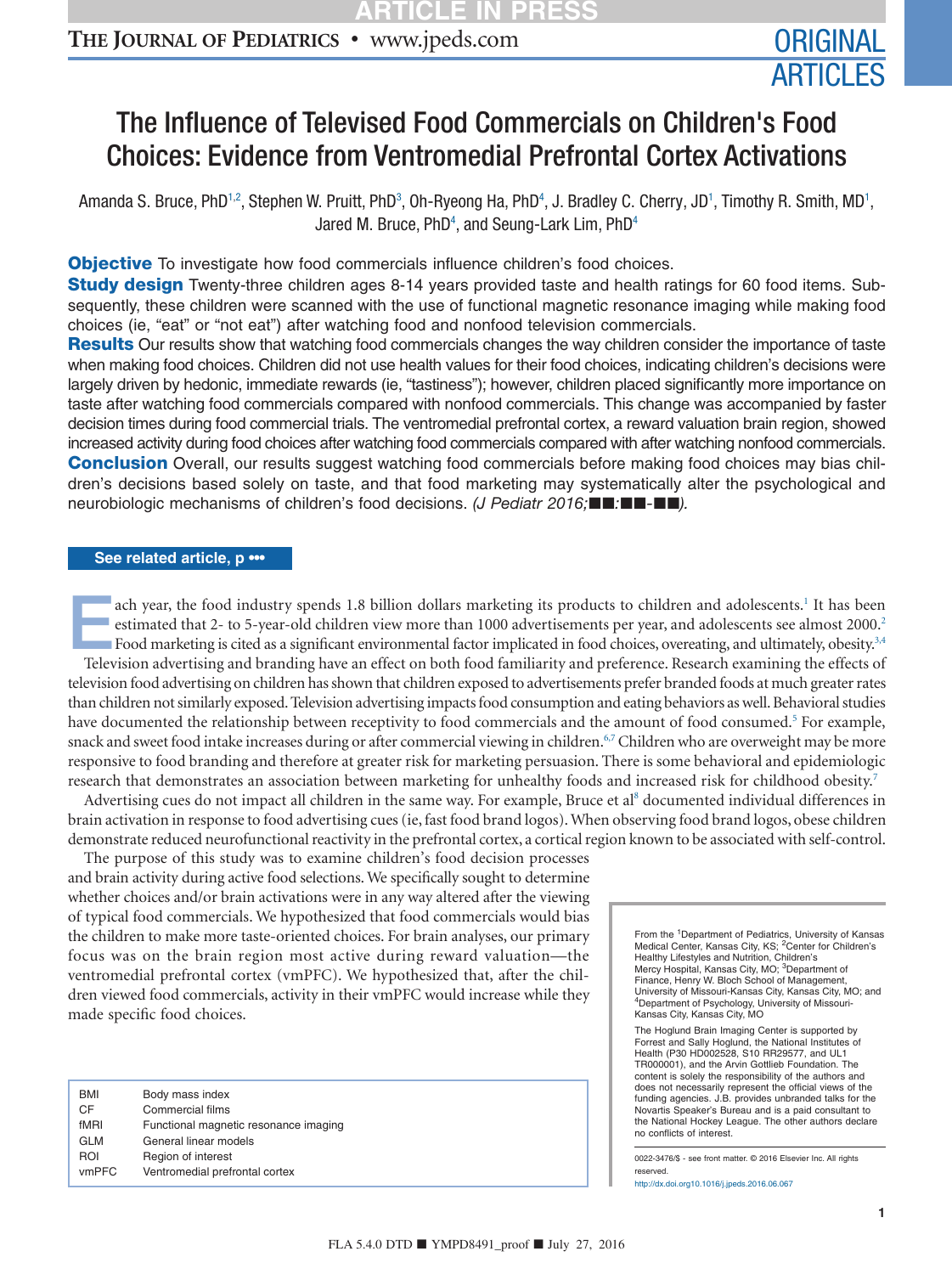# **THE JOURNAL OF PEDIATRICS •** www.jpeds.com ORIGINAL

# **ARTICLES**

# The Influence of Televised Food Commercials on Children's Food Choices: Evidence from Ventromedial Prefrontal Cortex Activations

Amanda S. Bruce, PhD<sup>1[,2](#page-0-1)</sup>, Stephen W. Pruitt, PhD<sup>3</sup>, Oh-Ryeong Ha, PhD<sup>4</sup>, J. Bradley C. Cherry, JD<sup>1</sup>, Timothy R. Smith, MD<sup>1</sup>, Jared M. Bruce, PhD<sup>4</sup>, and Seung-Lark Lim, PhD<sup>4</sup>

**Objective** To investigate how food commercials influence children's food choices.

**Study design** Twenty-three children ages 8-14 years provided taste and health ratings for 60 food items. Subsequently, these children were scanned with the use of functional magnetic resonance imaging while making food choices (ie, "eat" or "not eat") after watching food and nonfood television commercials.

Results Our results show that watching food commercials changes the way children consider the importance of taste when making food choices. Children did not use health values for their food choices, indicating children's decisions were largely driven by hedonic, immediate rewards (ie, "tastiness"); however, children placed significantly more importance on taste after watching food commercials compared with nonfood commercials. This change was accompanied by faster decision times during food commercial trials. The ventromedial prefrontal cortex, a reward valuation brain region, showed increased activity during food choices after watching food commercials compared with after watching nonfood commercials. Conclusion Overall, our results suggest watching food commercials before making food choices may bias children's decisions based solely on taste, and that food marketing may systematically alter the psychological and neurobiologic mechanisms of children's food decisions. (J Pediatr 2016;■■:■■-■■).

# **See related article, p •••**

ach year, the food industry spends 1.8 billion dollars marketing its products to children and adolescents.<sup>1</sup> It has been<br>estimated that 2- to 5-year-old children view more than 1000 advertisements per year, and adolescent estimated that 2- to 5-year-old children view more than 1000 advertisements per year, and adolescents see almost 2000.<sup>2</sup> Television advertising and branding have an effect on both food familiarity and preference. Research examining the effects of television food advertising on children has shown that children exposed to advertisements prefer branded foods at much greater rates than children not similarly exposed.Television advertising impacts food consumption and eating behaviors as well. Behavioral studies have documented the relationship between receptivity to food commercials and the amount of food consumed.<sup>5</sup> For example, snack and sweet food intake increases during or after commercial viewing in children.<sup>6,7</sup> Children who are overweight may be more responsive to food branding and therefore at greater risk for marketing persuasion. There is some behavioral and epidemiologic research that demonstrates an association between marketing for unhealthy foods and increased risk for childhood obesity.<sup>7</sup>

Advertising cues do not impact all children in the same way. For example, Bruce et al<sup>8</sup> documented individual differences in brain activation in response to food advertising cues (ie, fast food brand logos).When observing food brand logos, obese children demonstrate reduced neurofunctional reactivity in the prefrontal cortex, a cortical region known to be associated with self-control.

The purpose of this study was to examine children's food decision processes and brain activity during active food selections.We specifically sought to determine whether choices and/or brain activations were in any way altered after the viewing of typical food commercials. We hypothesized that food commercials would bias the children to make more taste-oriented choices. For brain analyses, our primary focus was on the brain region most active during reward valuation—the ventromedial prefrontal cortex (vmPFC). We hypothesized that, after the children viewed food commercials, activity in their vmPFC would increase while they made specific food choices.

| <b>BMI</b> | Body mass index                       |
|------------|---------------------------------------|
| CF         | Commercial films                      |
| fMRI       | Functional magnetic resonance imaging |
| <b>GLM</b> | General linear models                 |
| ROI        | Region of interest                    |
| vmPFC      | Ventromedial prefrontal cortex        |
|            |                                       |

<span id="page-0-2"></span><span id="page-0-1"></span><span id="page-0-0"></span>From the <sup>1</sup>Department of Pediatrics, University of Kansas Medical Center, Kansas City, KS; <sup>2</sup>Center for Children's Healthy Lifestyles and Nutrition, Children's Mercy Hospital, Kansas City, MO; 3Department of Finance, Henry W. Bloch School of Management, University of Missouri-Kansas City, Kansas City, MO; and <sup>4</sup>Department of Psychology, University of Missouri-Kansas City, Kansas City, MO

<span id="page-0-3"></span>The Hoglund Brain Imaging Center is supported by Forrest and Sally Hoglund, the National Institutes of Health (P30 HD002528, S10 RR29577, and UL1 TR000001), and the Arvin Gottlieb Foundation. The content is solely the responsibility of the authors and does not necessarily represent the official views of the funding agencies. J.B. provides unbranded talks for the Novartis Speaker's Bureau and is a paid consultant to the National Hockey League. The other authors declare no conflicts of interest.

0022-3476/\$ - see front matter. © 2016 Elsevier Inc. All rights reserved. http://dx.doi.org10.1016/j.jpeds.2016.06.067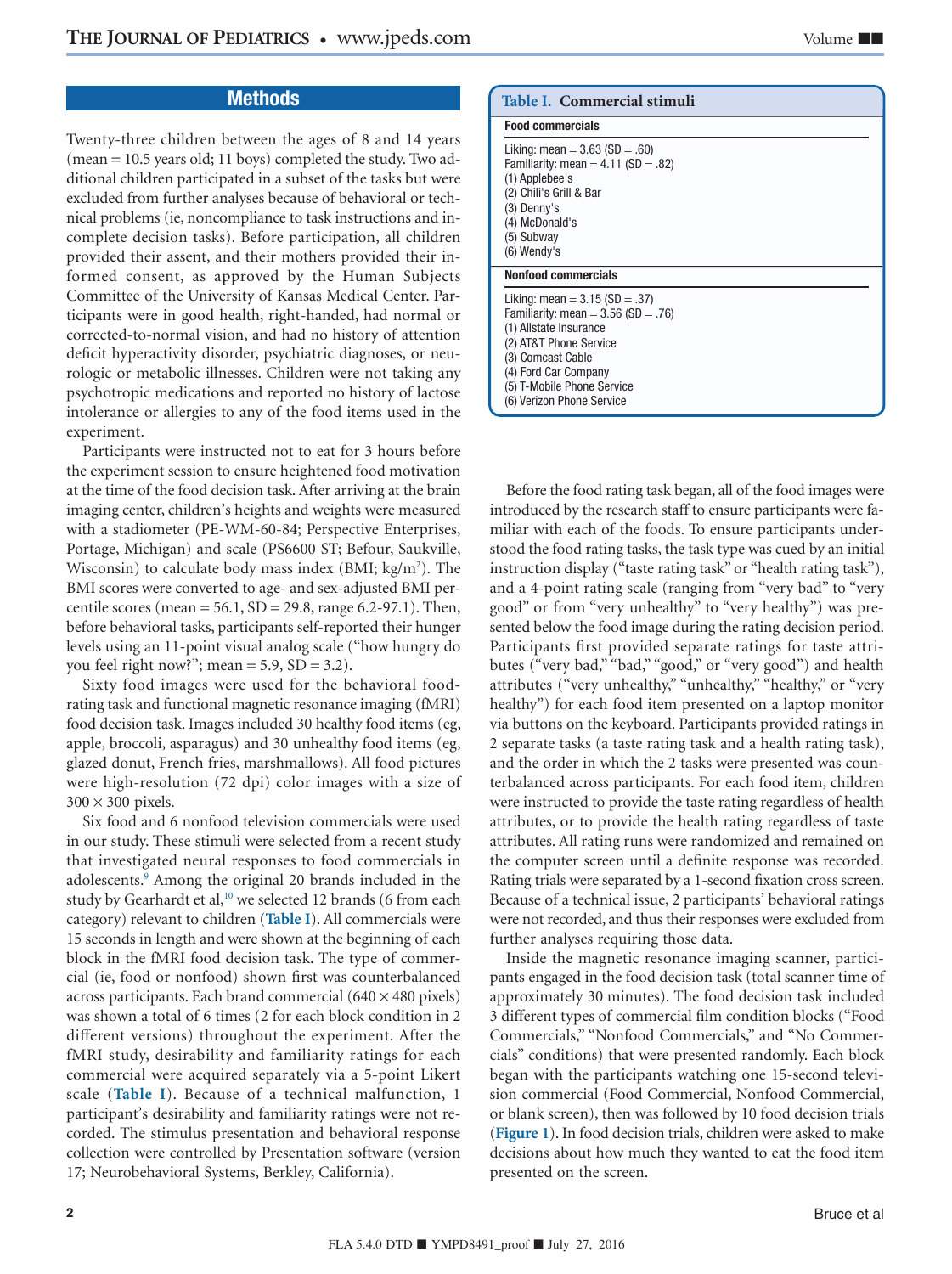# **Methods**

Twenty-three children between the ages of 8 and 14 years (mean = 10.5 years old; 11 boys) completed the study. Two additional children participated in a subset of the tasks but were excluded from further analyses because of behavioral or technical problems (ie, noncompliance to task instructions and incomplete decision tasks). Before participation, all children provided their assent, and their mothers provided their informed consent, as approved by the Human Subjects Committee of the University of Kansas Medical Center. Participants were in good health, right-handed, had normal or corrected-to-normal vision, and had no history of attention deficit hyperactivity disorder, psychiatric diagnoses, or neurologic or metabolic illnesses. Children were not taking any psychotropic medications and reported no history of lactose intolerance or allergies to any of the food items used in the experiment.

Participants were instructed not to eat for 3 hours before the experiment session to ensure heightened food motivation at the time of the food decision task. After arriving at the brain imaging center, children's heights and weights were measured with a stadiometer (PE-WM-60-84; Perspective Enterprises, Portage, Michigan) and scale (PS6600 ST; Befour, Saukville, Wisconsin) to calculate body mass index (BMI; kg/m<sup>2</sup>). The BMI scores were converted to age- and sex-adjusted BMI percentile scores (mean =  $56.1$ ,  $SD = 29.8$ , range  $6.2-97.1$ ). Then, before behavioral tasks, participants self-reported their hunger levels using an 11-point visual analog scale ("how hungry do you feel right now?"; mean =  $5.9$ ,  $SD = 3.2$ ).

Sixty food images were used for the behavioral foodrating task and functional magnetic resonance imaging (fMRI) food decision task. Images included 30 healthy food items (eg, apple, broccoli, asparagus) and 30 unhealthy food items (eg, glazed donut, French fries, marshmallows). All food pictures were high-resolution (72 dpi) color images with a size of  $300 \times 300$  pixels.

Six food and 6 nonfood television commercials were used in our study. These stimuli were selected from a recent study that investigated neural responses to food commercials in adolescents.<sup>9</sup> Among the original 20 brands included in the study by Gearhardt et al,<sup>10</sup> we selected 12 brands (6 from each category) relevant to children (**Table I**). All commercials were 15 seconds in length and were shown at the beginning of each block in the fMRI food decision task. The type of commercial (ie, food or nonfood) shown first was counterbalanced across participants. Each brand commercial  $(640 \times 480)$  pixels) was shown a total of 6 times (2 for each block condition in 2 different versions) throughout the experiment. After the fMRI study, desirability and familiarity ratings for each commercial were acquired separately via a 5-point Likert scale (**Table I**). Because of a technical malfunction, 1 participant's desirability and familiarity ratings were not recorded. The stimulus presentation and behavioral response collection were controlled by Presentation software (version 17; Neurobehavioral Systems, Berkley, California).

| Table I. Commercial stimuli |  |  |  |
|-----------------------------|--|--|--|
|-----------------------------|--|--|--|

Fo

| <b>Food commercials</b>          |  |  |  |  |  |
|----------------------------------|--|--|--|--|--|
| Liking: mean = $3.63$ (SD = .60) |  |  |  |  |  |

| <b>Nonfood commercials</b>            |  |  |
|---------------------------------------|--|--|
| (6) Wendy's                           |  |  |
| (5) Subway                            |  |  |
| (4) McDonald's                        |  |  |
| (3) Denny's                           |  |  |
| (2) Chili's Grill & Bar               |  |  |
| (1) Applebee's                        |  |  |
| Familiarity: mean = $4.11$ (SD = .82) |  |  |
|                                       |  |  |

Before the food rating task began, all of the food images were introduced by the research staff to ensure participants were familiar with each of the foods. To ensure participants understood the food rating tasks, the task type was cued by an initial instruction display ("taste rating task" or "health rating task"), and a 4-point rating scale (ranging from "very bad" to "very good" or from "very unhealthy" to "very healthy") was presented below the food image during the rating decision period. Participants first provided separate ratings for taste attributes ("very bad," "bad," "good," or "very good") and health attributes ("very unhealthy," "unhealthy," "healthy," or "very healthy") for each food item presented on a laptop monitor via buttons on the keyboard. Participants provided ratings in 2 separate tasks (a taste rating task and a health rating task), and the order in which the 2 tasks were presented was counterbalanced across participants. For each food item, children were instructed to provide the taste rating regardless of health attributes, or to provide the health rating regardless of taste attributes. All rating runs were randomized and remained on the computer screen until a definite response was recorded. Rating trials were separated by a 1-second fixation cross screen. Because of a technical issue, 2 participants' behavioral ratings were not recorded, and thus their responses were excluded from further analyses requiring those data.

Inside the magnetic resonance imaging scanner, participants engaged in the food decision task (total scanner time of approximately 30 minutes). The food decision task included 3 different types of commercial film condition blocks ("Food Commercials," "Nonfood Commercials," and "No Commercials" conditions) that were presented randomly. Each block began with the participants watching one 15-second television commercial (Food Commercial, Nonfood Commercial, or blank screen), then was followed by 10 food decision trials (**[Figure 1](#page-2-0)**). In food decision trials, children were asked to make decisions about how much they wanted to eat the food item presented on the screen.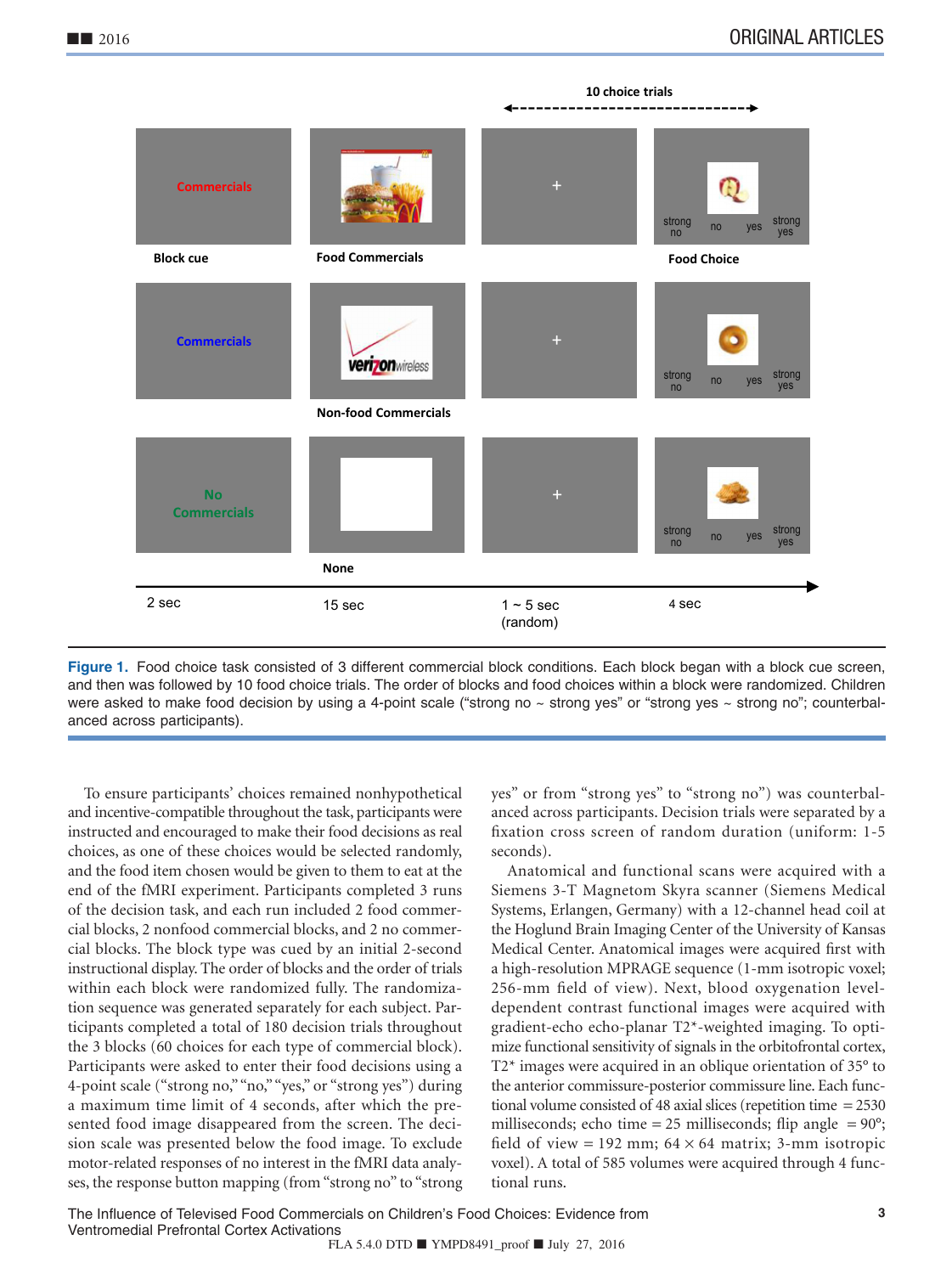<span id="page-2-0"></span>

Figure 1. Food choice task consisted of 3 different commercial block conditions. Each block began with a block cue screen, and then was followed by 10 food choice trials. The order of blocks and food choices within a block were randomized. Children were asked to make food decision by using a 4-point scale ("strong no ~ strong yes" or "strong yes ~ strong no"; counterbalanced across participants).

To ensure participants' choices remained nonhypothetical and incentive-compatible throughout the task, participants were instructed and encouraged to make their food decisions as real choices, as one of these choices would be selected randomly, and the food item chosen would be given to them to eat at the end of the fMRI experiment. Participants completed 3 runs of the decision task, and each run included 2 food commercial blocks, 2 nonfood commercial blocks, and 2 no commercial blocks. The block type was cued by an initial 2-second instructional display. The order of blocks and the order of trials within each block were randomized fully. The randomization sequence was generated separately for each subject. Participants completed a total of 180 decision trials throughout the 3 blocks (60 choices for each type of commercial block). Participants were asked to enter their food decisions using a 4-point scale ("strong no," "no," "yes," or "strong yes") during a maximum time limit of 4 seconds, after which the presented food image disappeared from the screen. The decision scale was presented below the food image. To exclude motor-related responses of no interest in the fMRI data analyses, the response button mapping (from "strong no" to "strong yes" or from "strong yes" to "strong no") was counterbalanced across participants. Decision trials were separated by a fixation cross screen of random duration (uniform: 1-5 seconds).

Anatomical and functional scans were acquired with a Siemens 3-T Magnetom Skyra scanner (Siemens Medical Systems, Erlangen, Germany) with a 12-channel head coil at the Hoglund Brain Imaging Center of the University of Kansas Medical Center. Anatomical images were acquired first with a high-resolution MPRAGE sequence (1-mm isotropic voxel; 256-mm field of view). Next, blood oxygenation leveldependent contrast functional images were acquired with gradient-echo echo-planar T2\*-weighted imaging. To optimize functional sensitivity of signals in the orbitofrontal cortex, T2\* images were acquired in an oblique orientation of 35° to the anterior commissure-posterior commissure line. Each functional volume consisted of 48 axial slices (repetition time = 2530 milliseconds; echo time = 25 milliseconds; flip angle =  $90^\circ$ ; field of view = 192 mm;  $64 \times 64$  matrix; 3-mm isotropic voxel). A total of 585 volumes were acquired through 4 functional runs.

The Influence of Televised Food Commercials on Children's Food Choices: Evidence from **3** Ventromedial Prefrontal Cortex Activations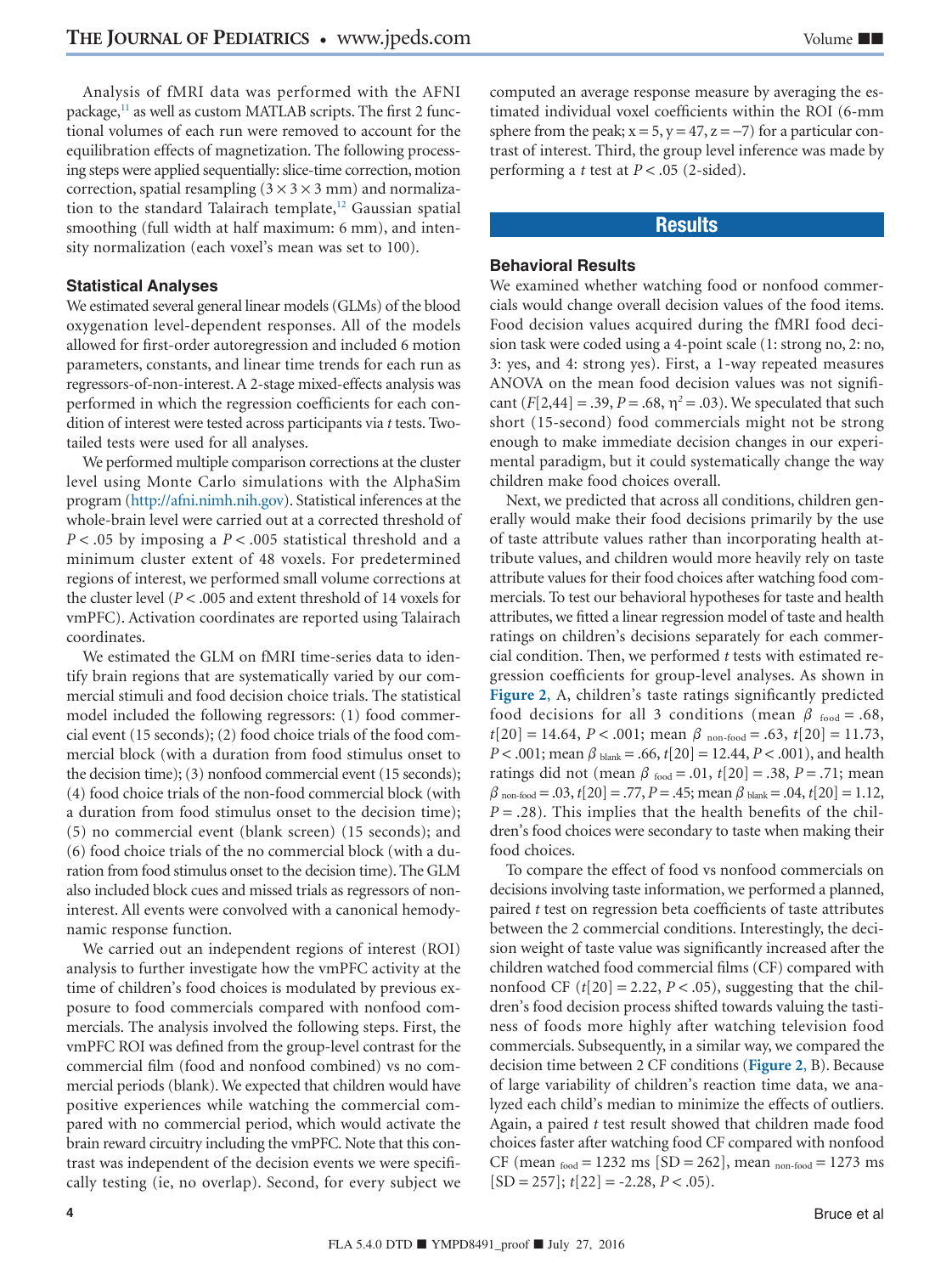Analysis of fMRI data was performed with the AFNI package, $11$  as well as custom MATLAB scripts. The first 2 functional volumes of each run were removed to account for the equilibration effects of magnetization. The following processing steps were applied sequentially: slice-time correction, motion correction, spatial resampling  $(3 \times 3 \times 3 \text{ mm})$  and normalization to the standard Talairach template,<sup>12</sup> Gaussian spatial smoothing (full width at half maximum: 6 mm), and intensity normalization (each voxel's mean was set to 100).

## **Statistical Analyses**

We estimated several general linear models (GLMs) of the blood oxygenation level-dependent responses. All of the models allowed for first-order autoregression and included 6 motion parameters, constants, and linear time trends for each run as regressors-of-non-interest. A 2-stage mixed-effects analysis was performed in which the regression coefficients for each condition of interest were tested across participants via *t* tests. Twotailed tests were used for all analyses.

We performed multiple comparison corrections at the cluster level using Monte Carlo simulations with the AlphaSim program [\(http://afni.nimh.nih.gov\)](http://afni.nimh.nih.gov). Statistical inferences at the whole-brain level were carried out at a corrected threshold of *P* < .05 by imposing a *P* < .005 statistical threshold and a minimum cluster extent of 48 voxels. For predetermined regions of interest, we performed small volume corrections at the cluster level (*P* < .005 and extent threshold of 14 voxels for vmPFC). Activation coordinates are reported using Talairach coordinates.

We estimated the GLM on fMRI time-series data to identify brain regions that are systematically varied by our commercial stimuli and food decision choice trials. The statistical model included the following regressors: (1) food commercial event (15 seconds); (2) food choice trials of the food commercial block (with a duration from food stimulus onset to the decision time); (3) nonfood commercial event (15 seconds); (4) food choice trials of the non-food commercial block (with a duration from food stimulus onset to the decision time); (5) no commercial event (blank screen) (15 seconds); and (6) food choice trials of the no commercial block (with a duration from food stimulus onset to the decision time). The GLM also included block cues and missed trials as regressors of noninterest. All events were convolved with a canonical hemodynamic response function.

We carried out an independent regions of interest (ROI) analysis to further investigate how the vmPFC activity at the time of children's food choices is modulated by previous exposure to food commercials compared with nonfood commercials. The analysis involved the following steps. First, the vmPFC ROI was defined from the group-level contrast for the commercial film (food and nonfood combined) vs no commercial periods (blank). We expected that children would have positive experiences while watching the commercial compared with no commercial period, which would activate the brain reward circuitry including the vmPFC. Note that this contrast was independent of the decision events we were specifically testing (ie, no overlap). Second, for every subject we computed an average response measure by averaging the estimated individual voxel coefficients within the ROI (6-mm sphere from the peak;  $x = 5$ ,  $y = 47$ ,  $z = -7$ ) for a particular contrast of interest. Third, the group level inference was made by performing a *t* test at *P* < .05 (2-sided).

# **Results**

#### **Behavioral Results**

We examined whether watching food or nonfood commercials would change overall decision values of the food items. Food decision values acquired during the fMRI food decision task were coded using a 4-point scale (1: strong no, 2: no, 3: yes, and 4: strong yes). First, a 1-way repeated measures ANOVA on the mean food decision values was not significant  $(F[2,44] = .39, P = .68, \eta^2 = .03)$ . We speculated that such short (15-second) food commercials might not be strong enough to make immediate decision changes in our experimental paradigm, but it could systematically change the way children make food choices overall.

Next, we predicted that across all conditions, children generally would make their food decisions primarily by the use of taste attribute values rather than incorporating health attribute values, and children would more heavily rely on taste attribute values for their food choices after watching food commercials. To test our behavioral hypotheses for taste and health attributes, we fitted a linear regression model of taste and health ratings on children's decisions separately for each commercial condition. Then, we performed *t* tests with estimated regression coefficients for group-level analyses. As shown in **[Figure 2](#page-4-0)**, A, children's taste ratings significantly predicted food decisions for all 3 conditions (mean  $\beta$  food = .68,  $t[20] = 14.64$ , *P* < .001; mean  $\beta$  <sub>non-food</sub> = .63,  $t[20] = 11.73$ , *P* < .001; mean  $\beta_{\text{blank}} = .66, t[20] = 12.44, P < .001$ , and health ratings did not (mean  $\beta$  food = .01, *t*[20] = .38, *P* = .71; mean  $\beta_{\text{non-food}} = .03, t[20] = .77, P = .45; \text{mean } \beta_{\text{blank}} = .04, t[20] = 1.12,$  $P = .28$ ). This implies that the health benefits of the children's food choices were secondary to taste when making their food choices.

To compare the effect of food vs nonfood commercials on decisions involving taste information, we performed a planned, paired *t* test on regression beta coefficients of taste attributes between the 2 commercial conditions. Interestingly, the decision weight of taste value was significantly increased after the children watched food commercial films (CF) compared with nonfood CF  $(t[20] = 2.22, P < .05)$ , suggesting that the children's food decision process shifted towards valuing the tastiness of foods more highly after watching television food commercials. Subsequently, in a similar way, we compared the decision time between 2 CF conditions (**[Figure 2](#page-4-0)**, B). Because of large variability of children's reaction time data, we analyzed each child's median to minimize the effects of outliers. Again, a paired *t* test result showed that children made food choices faster after watching food CF compared with nonfood CF (mean  $_{\text{food}} = 1232 \text{ ms}$  [SD = 262], mean  $_{\text{non-food}} = 1273 \text{ ms}$  $[SD = 257]$ ;  $t[22] = -2.28$ ,  $P < .05$ ).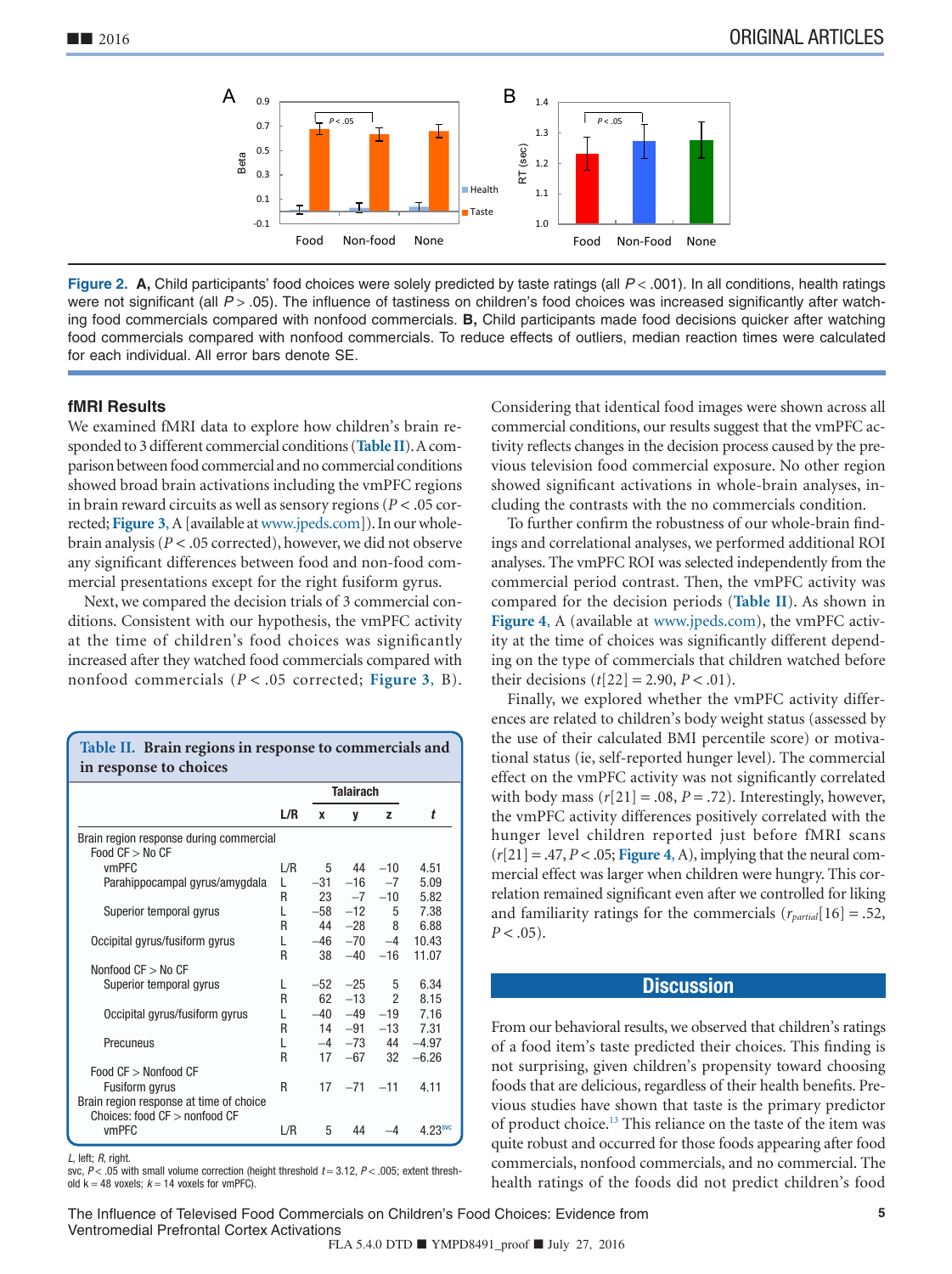<span id="page-4-0"></span>

**Figure 2.** A, Child participants' food choices were solely predicted by taste ratings (all P < .001). In all conditions, health ratings were not significant (all *P* > .05). The influence of tastiness on children's food choices was increased significantly after watching food commercials compared with nonfood commercials. **B,** Child participants made food decisions quicker after watching food commercials compared with nonfood commercials. To reduce effects of outliers, median reaction times were calculated for each individual. All error bars denote SE.

# **fMRI Results**

We examined fMRI data to explore how children's brain responded to 3 different commercial conditions (**Table II**).A comparison between food commercial and no commercial conditions showed broad brain activations including the vmPFC regions in brain reward circuits as well as sensory regions (*P* < .05 corrected; **[Figure 3](#page-6-0)**,A [available a[twww.jpeds.com\]](http://www.jpeds.com)). In our wholebrain analysis (*P* < .05 corrected), however, we did not observe any significant differences between food and non-food commercial presentations except for the right fusiform gyrus.

Next, we compared the decision trials of 3 commercial conditions. Consistent with our hypothesis, the vmPFC activity at the time of children's food choices was significantly increased after they watched food commercials compared with nonfood commercials (*P* < .05 corrected; **[Figure 3](#page-6-0)**, B).

| Table II. Brain regions in response to commercials and<br>in response to choices |     |                  |             |               |            |  |  |  |
|----------------------------------------------------------------------------------|-----|------------------|-------------|---------------|------------|--|--|--|
|                                                                                  |     | <b>Talairach</b> |             |               |            |  |  |  |
|                                                                                  | L/R | x                | V           | z             | t          |  |  |  |
| Brain region response during commercial<br>Food $CF > NoCF$                      |     |                  |             |               |            |  |  |  |
| vmPFC                                                                            |     | 5                | 44          | $-10$         | 4.51       |  |  |  |
| Parahippocampal gyrus/amygdala                                                   | L   | $-31$            | $-16$       | $-7$          | 5.09       |  |  |  |
|                                                                                  | R   |                  | $23 - 7$    | $-10$         | 5.82       |  |  |  |
| Superior temporal gyrus                                                          | L   |                  | $-58 - 12$  | 5             | 7.38       |  |  |  |
|                                                                                  | R   | 44               | $-28$       | 8             | 6.88       |  |  |  |
| Occipital gyrus/fusiform gyrus                                                   | L   |                  | $-46$ $-70$ | $-4$          | 10.43      |  |  |  |
|                                                                                  | R   | 38               | $-40$       | $-16$         | 11.07      |  |  |  |
| Nonfood $CF > No CF$                                                             |     |                  |             |               |            |  |  |  |
| Superior temporal gyrus                                                          | L   |                  | $-52 -25$   | 5             | 6.34       |  |  |  |
|                                                                                  | R   |                  | $62 -13$    | $\mathcal{P}$ | 8.15       |  |  |  |
| Occipital gyrus/fusiform gyrus                                                   | L   |                  | $-40 -49$   | $-19$         | 7.16       |  |  |  |
|                                                                                  | R   |                  | $14 - 91$   | $-13$         | 7.31       |  |  |  |
| Precuneus                                                                        | L   |                  | $-4$ $-73$  | 44            | $-4.97$    |  |  |  |
|                                                                                  | R   | 17               | -67         | 32            | $-6.26$    |  |  |  |
| Food $CF >$ Nonfood $CF$                                                         |     |                  |             |               |            |  |  |  |
| Fusiform gyrus                                                                   |     | 17               | $-71$       | $-11$         | 4.11       |  |  |  |
| Brain region response at time of choice<br>Choices: food $CF >$ nonfood $CF$     |     |                  |             |               |            |  |  |  |
| vmPFC                                                                            | L/R | 5                | 44          | -4            | $4.23$ svc |  |  |  |

<span id="page-4-1"></span>L, left; R, right.

svc,  $P < .05$  with small volume correction (height threshold  $t = 3.12$ ,  $P < .005$ ; extent threshold  $k = 48$  voxels;  $k = 14$  voxels for vmPFC).

The Influence of Televised Food Commercials on Children's Food Choices: Evidence from **5** Ventromedial Prefrontal Cortex Activations

Considering that identical food images were shown across all commercial conditions, our results suggest that the vmPFC activity reflects changes in the decision process caused by the previous television food commercial exposure. No other region showed significant activations in whole-brain analyses, including the contrasts with the no commercials condition.

To further confirm the robustness of our whole-brain findings and correlational analyses, we performed additional ROI analyses. The vmPFC ROI was selected independently from the commercial period contrast. Then, the vmPFC activity was compared for the decision periods (**Table II**). As shown in **[Figure 4](#page-6-0)**, A (available at [www.jpeds.com\)](http://www.jpeds.com), the vmPFC activity at the time of choices was significantly different depending on the type of commercials that children watched before their decisions  $(t[22] = 2.90, P < .01)$ .

Finally, we explored whether the vmPFC activity differences are related to children's body weight status (assessed by the use of their calculated BMI percentile score) or motivational status (ie, self-reported hunger level). The commercial effect on the vmPFC activity was not significantly correlated with body mass  $(r[21] = .08, P = .72)$ . Interestingly, however, the vmPFC activity differences positively correlated with the hunger level children reported just before fMRI scans  $(r[21] = .47, P < .05;$  **[Figure 4](#page-6-0)**, A), implying that the neural commercial effect was larger when children were hungry. This correlation remained significant even after we controlled for liking and familiarity ratings for the commercials (*rpartial*[16] = .52,  $P < .05$ ).

# **Discussion**

From our behavioral results, we observed that children's ratings of a food item's taste predicted their choices. This finding is not surprising, given children's propensity toward choosing foods that are delicious, regardless of their health benefits. Previous studies have shown that taste is the primary predictor of product choice.<sup>13</sup> This reliance on the taste of the item was quite robust and occurred for those foods appearing after food commercials, nonfood commercials, and no commercial. The health ratings of the foods did not predict children's food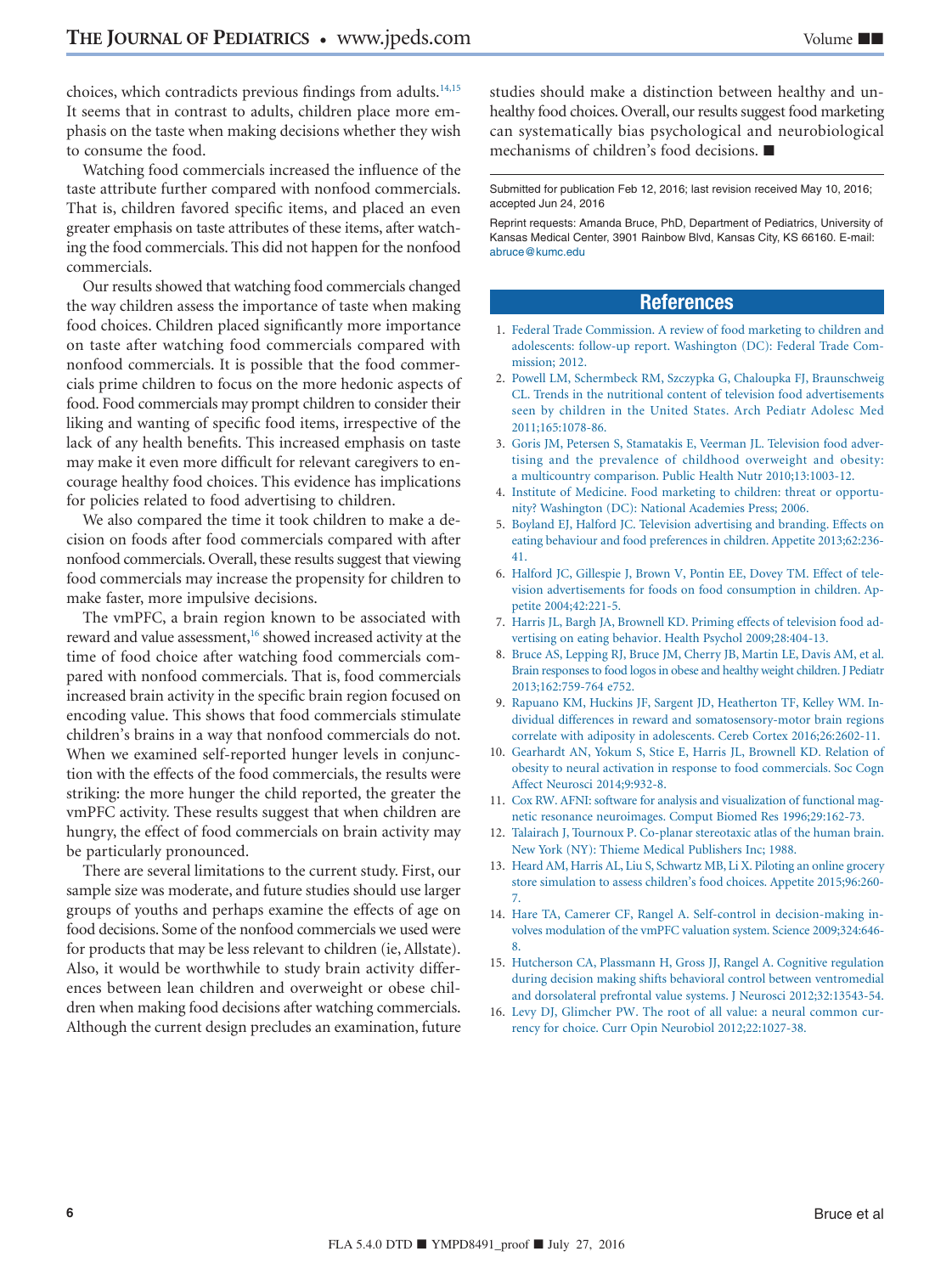choices, which contradicts previous findings from adults. $14,15$ It seems that in contrast to adults, children place more emphasis on the taste when making decisions whether they wish to consume the food.

Watching food commercials increased the influence of the taste attribute further compared with nonfood commercials. That is, children favored specific items, and placed an even greater emphasis on taste attributes of these items, after watching the food commercials. This did not happen for the nonfood commercials.

Our results showed that watching food commercials changed the way children assess the importance of taste when making food choices. Children placed significantly more importance on taste after watching food commercials compared with nonfood commercials. It is possible that the food commercials prime children to focus on the more hedonic aspects of food. Food commercials may prompt children to consider their liking and wanting of specific food items, irrespective of the lack of any health benefits. This increased emphasis on taste may make it even more difficult for relevant caregivers to encourage healthy food choices. This evidence has implications for policies related to food advertising to children.

We also compared the time it took children to make a decision on foods after food commercials compared with after nonfood commercials. Overall, these results suggest that viewing food commercials may increase the propensity for children to make faster, more impulsive decisions.

The vmPFC, a brain region known to be associated with reward and value assessment,<sup>16</sup> showed increased activity at the time of food choice after watching food commercials compared with nonfood commercials. That is, food commercials increased brain activity in the specific brain region focused on encoding value. This shows that food commercials stimulate children's brains in a way that nonfood commercials do not. When we examined self-reported hunger levels in conjunction with the effects of the food commercials, the results were striking: the more hunger the child reported, the greater the vmPFC activity. These results suggest that when children are hungry, the effect of food commercials on brain activity may be particularly pronounced.

There are several limitations to the current study. First, our sample size was moderate, and future studies should use larger groups of youths and perhaps examine the effects of age on food decisions. Some of the nonfood commercials we used were for products that may be less relevant to children (ie, Allstate). Also, it would be worthwhile to study brain activity differences between lean children and overweight or obese children when making food decisions after watching commercials. Although the current design precludes an examination, future studies should make a distinction between healthy and unhealthy food choices. Overall, our results suggest food marketing can systematically bias psychological and neurobiological mechanisms of children's food decisions. ■

Submitted for publication Feb 12, 2016; last revision received May 10, 2016; accepted Jun 24, 2016

Reprint requests: Amanda Bruce, PhD, Department of Pediatrics, University of Kansas Medical Center, 3901 Rainbow Blvd, Kansas City, KS 66160. E-mail: [abruce@kumc.edu](mailto:abruce@kumc.edu)

# **References**

- <span id="page-5-0"></span>1. [Federal Trade Commission. A review of food marketing to children and](http://refhub.elsevier.com/S0022-3476(16)30496-6/sr0010) [adolescents: follow-up report. Washington \(DC\): Federal Trade Com](http://refhub.elsevier.com/S0022-3476(16)30496-6/sr0010)[mission; 2012.](http://refhub.elsevier.com/S0022-3476(16)30496-6/sr0010)
- <span id="page-5-1"></span>2. [Powell LM, Schermbeck RM, Szczypka G, Chaloupka FJ, Braunschweig](http://refhub.elsevier.com/S0022-3476(16)30496-6/sr0015) [CL. Trends in the nutritional content of television food advertisements](http://refhub.elsevier.com/S0022-3476(16)30496-6/sr0015) [seen by children in the United States. Arch Pediatr Adolesc Med](http://refhub.elsevier.com/S0022-3476(16)30496-6/sr0015) [2011;165:1078-86.](http://refhub.elsevier.com/S0022-3476(16)30496-6/sr0015)
- <span id="page-5-2"></span>3. [Goris JM, Petersen S, Stamatakis E, Veerman JL. Television food adver](http://refhub.elsevier.com/S0022-3476(16)30496-6/sr0020)[tising and the prevalence of childhood overweight and obesity:](http://refhub.elsevier.com/S0022-3476(16)30496-6/sr0020) [a multicountry comparison. Public Health Nutr 2010;13:1003-12.](http://refhub.elsevier.com/S0022-3476(16)30496-6/sr0020)
- 4. [Institute of Medicine. Food marketing to children: threat or opportu](http://refhub.elsevier.com/S0022-3476(16)30496-6/sr0025)[nity? Washington \(DC\): National Academies Press; 2006.](http://refhub.elsevier.com/S0022-3476(16)30496-6/sr0025)
- <span id="page-5-3"></span>5. [Boyland EJ, Halford JC. Television advertising and branding. Effects on](http://refhub.elsevier.com/S0022-3476(16)30496-6/sr0030) [eating behaviour and food preferences in children. Appetite 2013;62:236-](http://refhub.elsevier.com/S0022-3476(16)30496-6/sr0030) [41.](http://refhub.elsevier.com/S0022-3476(16)30496-6/sr0030)
- <span id="page-5-4"></span>6. [Halford JC, Gillespie J, Brown V, Pontin EE, Dovey TM. Effect of tele](http://refhub.elsevier.com/S0022-3476(16)30496-6/sr0035)[vision advertisements for foods on food consumption in children. Ap](http://refhub.elsevier.com/S0022-3476(16)30496-6/sr0035)[petite 2004;42:221-5.](http://refhub.elsevier.com/S0022-3476(16)30496-6/sr0035)
- <span id="page-5-5"></span>7. [Harris JL, Bargh JA, Brownell KD. Priming effects of television food ad](http://refhub.elsevier.com/S0022-3476(16)30496-6/sr0040)[vertising on eating behavior. Health Psychol 2009;28:404-13.](http://refhub.elsevier.com/S0022-3476(16)30496-6/sr0040)
- <span id="page-5-6"></span>8. [Bruce AS, Lepping RJ, Bruce JM, Cherry JB, Martin LE, Davis AM, et al.](http://refhub.elsevier.com/S0022-3476(16)30496-6/sr0045) [Brain responses to food logos in obese and healthy weight children. J Pediatr](http://refhub.elsevier.com/S0022-3476(16)30496-6/sr0045) [2013;162:759-764 e752.](http://refhub.elsevier.com/S0022-3476(16)30496-6/sr0045)
- <span id="page-5-7"></span>9. [Rapuano KM, Huckins JF, Sargent JD, Heatherton TF, Kelley WM. In](http://refhub.elsevier.com/S0022-3476(16)30496-6/sr0050)[dividual differences in reward and somatosensory-motor brain regions](http://refhub.elsevier.com/S0022-3476(16)30496-6/sr0050) [correlate with adiposity in adolescents. Cereb Cortex 2016;26:2602-11.](http://refhub.elsevier.com/S0022-3476(16)30496-6/sr0050)
- <span id="page-5-8"></span>10. [Gearhardt AN, Yokum S, Stice E, Harris JL, Brownell KD. Relation of](http://refhub.elsevier.com/S0022-3476(16)30496-6/sr0055) [obesity to neural activation in response to food commercials. Soc Cogn](http://refhub.elsevier.com/S0022-3476(16)30496-6/sr0055) [Affect Neurosci 2014;9:932-8.](http://refhub.elsevier.com/S0022-3476(16)30496-6/sr0055)
- <span id="page-5-9"></span>11. [Cox RW. AFNI: software for analysis and visualization of functional mag](http://refhub.elsevier.com/S0022-3476(16)30496-6/sr0060)[netic resonance neuroimages. Comput Biomed Res 1996;29:162-73.](http://refhub.elsevier.com/S0022-3476(16)30496-6/sr0060)
- <span id="page-5-10"></span>12. [Talairach J, Tournoux P. Co-planar stereotaxic atlas of the human brain.](http://refhub.elsevier.com/S0022-3476(16)30496-6/sr0065) [New York \(NY\): Thieme Medical Publishers Inc; 1988.](http://refhub.elsevier.com/S0022-3476(16)30496-6/sr0065)
- <span id="page-5-11"></span>13. [Heard AM, Harris AL, Liu S, Schwartz MB, Li X. Piloting an online grocery](http://refhub.elsevier.com/S0022-3476(16)30496-6/sr0070) [store simulation to assess children's food choices. Appetite 2015;96:260-](http://refhub.elsevier.com/S0022-3476(16)30496-6/sr0070) [7.](http://refhub.elsevier.com/S0022-3476(16)30496-6/sr0070)
- <span id="page-5-12"></span>14. [Hare TA, Camerer CF, Rangel A. Self-control in decision-making in](http://refhub.elsevier.com/S0022-3476(16)30496-6/sr0075)[volves modulation of the vmPFC valuation system. Science 2009;324:646-](http://refhub.elsevier.com/S0022-3476(16)30496-6/sr0075) [8.](http://refhub.elsevier.com/S0022-3476(16)30496-6/sr0075)
- 15. [Hutcherson CA, Plassmann H, Gross JJ, Rangel A. Cognitive regulation](http://refhub.elsevier.com/S0022-3476(16)30496-6/sr0080) [during decision making shifts behavioral control between ventromedial](http://refhub.elsevier.com/S0022-3476(16)30496-6/sr0080) [and dorsolateral prefrontal value systems. J Neurosci 2012;32:13543-54.](http://refhub.elsevier.com/S0022-3476(16)30496-6/sr0080)
- <span id="page-5-13"></span>16. [Levy DJ, Glimcher PW. The root of all value: a neural common cur](http://refhub.elsevier.com/S0022-3476(16)30496-6/sr0085)[rency for choice. Curr Opin Neurobiol 2012;22:1027-38.](http://refhub.elsevier.com/S0022-3476(16)30496-6/sr0085)